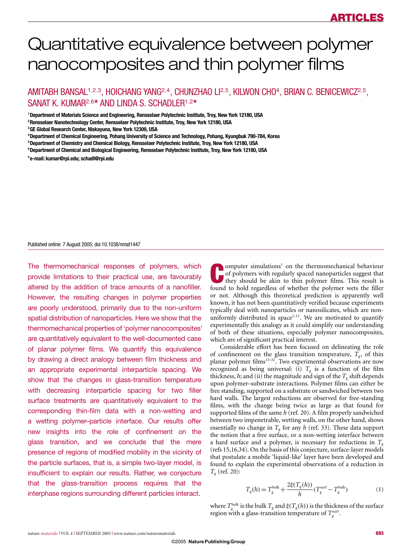# Quantitative equivalence between polymer nanocomposites and thin polymer films

AMITABH BANSAL<sup>1,2,3</sup>, HOICHANG YANG<sup>2,4</sup>, CHUNZHAO LI<sup>2,5</sup>, KILWON CHO<sup>4</sup>, BRIAN C. BENICEWICZ<sup>2,5</sup>, SANAT K. KUMAR<sup>2</sup>,<sup>6</sup>**\*** AND LINDA S. SCHADLER<sup>1</sup>,<sup>2</sup>**\***

1 **Department of Materials Science and Engineering, Rensselaer Polytechnic Institute, Troy, New York 12180, USA**

3 **GE Global Research Center, Niskayuna, New York 12309, USA**

4 **Department of Chemical Engineering, Pohang University of Science and Technology, Pohang, Kyungbuk 790-784, Korea**

5 **Department of Chemistry and Chemical Biology, Rensselaer Polytechnic Institute, Troy, New York 12180, USA**

6 **Department of Chemical and Biological Engineering, Rensselaer Polytechnic Institute, Troy, New York 12180, USA**

**\*e-mail: kumar@rpi.edu; schadl@rpi.edu**

## Published online: 7 August 2005; doi:10.1038/nmat1447

The thermomechanical responses of polymers, which provide limitations to their practical use, are favourably altered by the addition of trace amounts of a nanofiller. However, the resulting changes in polymer properties are poorly understood, primarily due to the non-uniform spatial distribution of nanoparticles. Here we show that the thermomechanical properties of 'polymer nanocomposites' are quantitatively equivalent to the well-documented case of planar polymer films. We quantify this equivalence by drawing a direct analogy between film thickness and an appropriate experimental interparticle spacing. We show that the changes in glass-transition temperature with decreasing interparticle spacing for two filler surface treatments are quantitatively equivalent to the corresponding thin-film data with a non-wetting and a wetting polymer–particle interface. Our results offer new insights into the role of confinement on the glass transition, and we conclude that the mere presence of regions of modified mobility in the vicinity of the particle surfaces, that is, a simple two-layer model, is insufficient to explain our results. Rather, we conjecture that the glass-transition process requires that the interphase regions surrounding different particles interact.

**Computer simulations<sup>1</sup>** on the thermomechanical behaviour of polymers with regularly spaced nanoparticles suggest that they should be akin to thin polymer films. This result is found to held regardless of whether the pol of polymers with regularly spaced nanoparticles suggest that found to hold regardless of whether the polymer wets the filler or not. Although this theoretical prediction is apparently well known, it has not been quantitatively verified because experiments typically deal with nanoparticles or nanosilicates, which are nonuniformly distributed in space<sup>2-12</sup>. We are motivated to quantify experimentally this analogy as it could simplify our understanding of both of these situations, especially polymer nanocomposites, which are of significant practical interest.

Considerable effort has been focused on delineating the role of confinement on the glass transition temperature,  $T_{\rm g}$ , of thin planar polymer films<sup>13-32</sup>. Two experimental observations are now recognized as being universal: (i)  $T_g$  is a function of the film thickness,  $h$ ; and (ii) the magnitude and sign of the  $T<sub>g</sub>$  shift depends upon polymer–substrate interactions. Polymer films can either be free standing, supported on a substrate or sandwiched between two hard walls. The largest reductions are observed for free-standing films, with the change being twice as large as that found for supported films of the same *h* (ref. 20). A film properly sandwiched between two impenetrable, wetting walls, on the other hand, shows essentially no change in  $T_g$  for any  $h$  (ref. 33). These data support the notion that a free surface, or a non-wetting interface between a hard surface and a polymer, is necessary for reductions in  $T_{\rm g}$ (refs 15,16,34). On the basis of this conjecture, surface-layer models that postulate a mobile 'liquid-like' layer have been developed and found to explain the experimental observations of a reduction in *T*<sup>g</sup> (ref. 20):

$$
T_{\rm g}(h) = T_{\rm g}^{\rm bulk} + \frac{2\xi(T_{\rm g}(h))}{h}(T_{\rm g}^{\rm surf} - T_{\rm g}^{\rm bulk})\tag{1}
$$

where  $T_g^{\text{bulk}}$  is the bulk  $T_g$  and  $\xi(T_g(h))$  is the thickness of the surface region with a glass-transition temperature of  $T<sub>g</sub><sup>surf</sup>$ .

<sup>2</sup> **Rensselaer Nanotechnology Center, Rensselaer Polytechnic Institute, Troy, New York 12180, USA**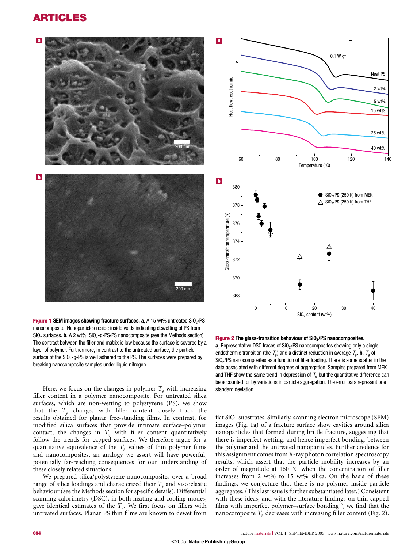# ARTICLES



**Figure 1 SEM images showing fracture surfaces. a, A 15 wt% untreated SiO<sub>2</sub>/PS** nanocomposite. Nanoparticles reside inside voids indicating dewetting of PS from  $SiO<sub>2</sub>$  surfaces. **b**, A 2 wt%  $SiO<sub>2</sub>$ -g-PS/PS nanocomposite (see the Methods section). The contrast between the filler and matrix is low because the surface is covered by a layer of polymer. Furthermore, in contrast to the untreated surface, the particle surface of the  $SiO<sub>2</sub> - g-PS$  is well adhered to the PS. The surfaces were prepared by breaking nanocomposite samples under liquid nitrogen.

Here, we focus on the changes in polymer  $T<sub>g</sub>$  with increasing filler content in a polymer nanocomposite. For untreated silica surfaces, which are non-wetting to polystyrene (PS), we show that the  $T_g$  changes with filler content closely track the results obtained for planar free-standing films. In contrast, for modified silica surfaces that provide intimate surface–polymer contact, the changes in  $T_g$  with filler content quantitatively follow the trends for capped surfaces. We therefore argue for a quantitative equivalence of the  $T<sub>g</sub>$  values of thin polymer films and nanocomposites, an analogy we assert will have powerful, potentially far-reaching consequences for our understanding of these closely related situations.

We prepared silica/polystyrene nanocomposites over a broad range of silica loadings and characterized their  $T<sub>g</sub>$  and viscoelastic behaviour (see the Methods section for specific details). Differential scanning calorimetry (DSC), in both heating and cooling modes, gave identical estimates of the  $T_{\rm g}$ . We first focus on fillers with untreated surfaces. Planar PS thin films are known to dewet from



**Figure 2 The glass-transition behaviour of SiO<sub>2</sub>/PS nanocomposites. a**. Representative DSC traces of SiO<sub>2</sub>/PS nanocomposites showing only a single endothermic transition (the  $T_q$ ) and a distinct reduction in average  $T_q$ . **b**,  $T_q$  of SiO<sub>2</sub>/PS nanocomposites as a function of filler loading. There is some scatter in the data associated with different degrees of aggregation. Samples prepared from MEK and THF show the same trend in depression of  $T<sub>g</sub>$  but the quantitative difference can be accounted for by variations in particle aggregation. The error bars represent one standard deviation.

flat SiO*<sup>x</sup>* substrates. Similarly, scanning electron microscope (SEM) images (Fig. 1a) of a fracture surface show cavities around silica nanoparticles that formed during brittle fracture, suggesting that there is imperfect wetting, and hence imperfect bonding, between the polymer and the untreated nanoparticles. Further credence for this assignment comes from X-ray photon correlation spectroscopy results, which assert that the particle mobility increases by an order of magnitude at 160 ◦ C when the concentration of filler increases from 2 wt% to 15 wt% silica. On the basis of these findings, we conjecture that there is no polymer inside particle aggregates. (This last issue is further substantiated later.) Consistent with these ideas, and with the literature findings on thin capped films with imperfect polymer–surface bonding<sup>25</sup>, we find that the nanocomposite  $T_g$  decreases with increasing filler content (Fig. 2).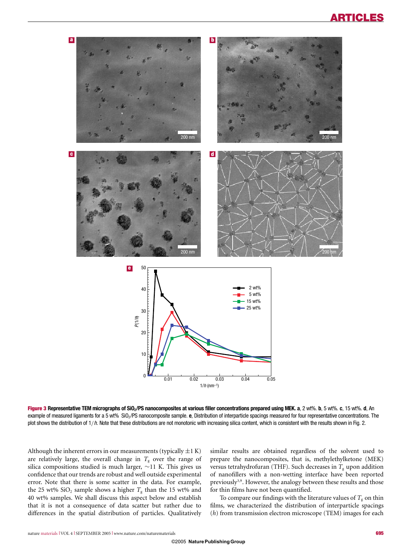

Figure 3 **Representative TEM micrographs of SiO2/PS nanocomposites at various filler concentrations prepared using MEK. a**, 2 wt%. **b**, 5 wt%. **c**, 15 wt%. **d**, An example of measured ligaments for a 5 wt% SiO<sub>2</sub>/PS nanocomposite sample. **e**, Distribution of interparticle spacings measured for four representative concentrations. The plot shows the distribution of  $1/h$ . Note that these distributions are not monotonic with increasing silica content, which is consistent with the results shown in Fig. 2.

Although the inherent errors in our measurements (typically  $\pm 1$  K) are relatively large, the overall change in  $T<sub>g</sub>$  over the range of silica compositions studied is much larger, ∼11 K. This gives us confidence that our trends are robust and well outside experimental error. Note that there is some scatter in the data. For example, the 25 wt%  $SiO<sub>2</sub>$  sample shows a higher  $T<sub>g</sub>$  than the 15 wt% and 40 wt% samples. We shall discuss this aspect below and establish that it is not a consequence of data scatter but rather due to differences in the spatial distribution of particles. Qualitatively similar results are obtained regardless of the solvent used to prepare the nanocomposites, that is, methylethylketone (MEK) versus tetrahydrofuran (THF). Such decreases in  $T<sub>g</sub>$  upon addition of nanofillers with a non-wetting interface have been reported previously<sup>3,9</sup>. However, the analogy between these results and those for thin films have not been quantified.

To compare our findings with the literature values of  $T_g$  on thin films, we characterized the distribution of interparticle spacings (*h*) from transmission electron microscope (TEM) images for each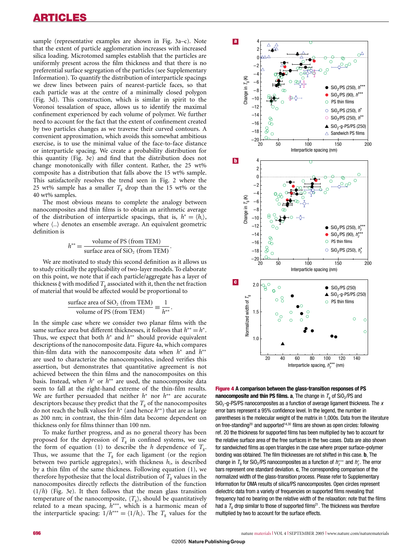sample (representative examples are shown in Fig. 3a–c). Note that the extent of particle agglomeration increases with increased silica loading. Microtomed samples establish that the particles are uniformly present across the film thickness and that there is no preferential surface segregation of the particles (see Supplementary Information). To quantify the distribution of interparticle spacings we drew lines between pairs of nearest-particle faces, so that each particle was at the centre of a minimally closed polygon (Fig. 3d). This construction, which is similar in spirit to the Voronoi tessalation of space, allows us to identify the maximal confinement experienced by each volume of polymer. We further need to account for the fact that the extent of confinement created by two particles changes as we traverse their curved contours. A convenient approximation, which avoids this somewhat ambitious exercise, is to use the minimal value of the face-to-face distance or interparticle spacing. We create a probability distribution for this quantity (Fig. 3e) and find that the distribution does not change monotonically with filler content. Rather, the 25 wt% composite has a distribution that falls above the 15 wt% sample. This satisfactorily resolves the trend seen in Fig. 2 where the 25 wt% sample has a smaller  $T<sub>g</sub>$  drop than the 15 wt% or the 40 wt% samples.

The most obvious means to complete the analogy between nanocomposites and thin films is to obtain an arithmetic average of the distribution of interparticle spacings, that is,  $h^* = \langle h_i \rangle$ , where  $\langle .. \rangle$  denotes an ensemble average. An equivalent geometric definition is

$$
h^{**} = \frac{\text{volume of PS (from TEM)}}{\text{surface area of SiO}_2 \text{ (from TEM)}}.
$$

We are motivated to study this second definition as it allows us to study critically the applicability of two-layer models. To elaborate on this point, we note that if each particle/aggregate has a layer of thickness  $\xi$  with modified  $T_g$  associated with it, then the net fraction of material that would be affected would be proportional to

surface area of SiO<sub>2</sub> (from TEM) volume of PS (from TEM) 
$$
\equiv \frac{1}{h^{**}}
$$
.

In the simple case where we consider two planar films with the same surface area but different thicknesses, it follows that *h*∗∗ = *h*∗. Thus, we expect that both *h*<sup>∗</sup> and *h*∗∗ should provide equivalent descriptions of the nanocomposite data. Figure 4a, which compares thin-film data with the nanocomposite data when *h*<sup>∗</sup> and *h*∗∗ are used to characterize the nanocomposites, indeed verifies this assertion, but demonstrates that quantitative agreement is not achieved between the thin films and the nanocomposites on this basis. Instead, when *h*<sup>∗</sup> or *h*∗∗ are used, the nanocomposite data seem to fall at the right-hand extreme of the thin-film results. We are further persuaded that neither *h*<sup>∗</sup> nor *h*∗∗ are accurate descriptors because they predict that the  $T<sub>g</sub>$  of the nanocomposites do not reach the bulk values for *h*<sup>∗</sup> (and hence *h*∗∗) that are as large as 200 nm; in contrast, the thin-film data become dependent on thickness only for films thinner than 100 nm.

To make further progress, and as no general theory has been proposed for the depression of  $T<sub>g</sub>$  in confined systems, we use the form of equation (1) to describe the *h* dependence of  $T_g$ . Thus, we assume that the  $T_g$  for each ligament (or the region between two particle aggregates), with thickness  $h_i$ , is described by a thin film of the same thickness. Following equation (1), we therefore hypothesize that the local distribution of  $T_{g}$  values in the nanocomposites directly reflects the distribution of the function (1/*h*) (Fig. 3e). It then follows that the mean glass transition temperature of the nanocomposite,  $\langle T_{\rm g} \rangle$ , should be quantitatively related to a mean spacing, *h*∗∗∗, which is a harmonic mean of the interparticle spacing:  $1/h^{***} = \langle 1/h_i \rangle$ . The  $T_g$  values for the



Figure 4 **A comparison between the glass-transition responses of PS nanocomposite and thin PS films. a**, The change in  $T<sub>0</sub>$  of SiO<sub>2</sub>/PS and  $SiO<sub>2</sub>$ -g-PS/PS nanocomposites as a function of average ligament thickness. The x error bars represent a 95% confidence level. In the legend, the number in parentheses is the molecular weight of the matrix in 1,000s. Data from the literature on free-standing<sup>20</sup> and supported<sup>14,30</sup> films are shown as open circles: following ref. 20 the thickness for supported films has been multiplied by two to account for the relative surface area of the free surfaces in the two cases. Data are also shown for sandwiched films as open triangles in the case where proper surface–polymer bonding was obtained. The film thicknesses are not shifted in this case. **b**, The change in  $T_g$  for SiO<sub>2</sub>/PS nanocomposites as a function of  $h_z^{***}$  and  $h_z^*$ . The error bars represent one standard deviation. **c**, The corresponding comparison of the normalized width of the glass-transition process. Please refer to Supplementary Information for DMA results of silica/PS nanocomposites. Open circles represent dielectric data from a variety of frequencies on supported films revealing that frequency had no bearing on the relative width of the relaxation: note that the films had a  $T<sub>a</sub>$  drop similar to those of supported films<sup>21</sup>. The thickness was therefore multiplied by two to account for the surface effects.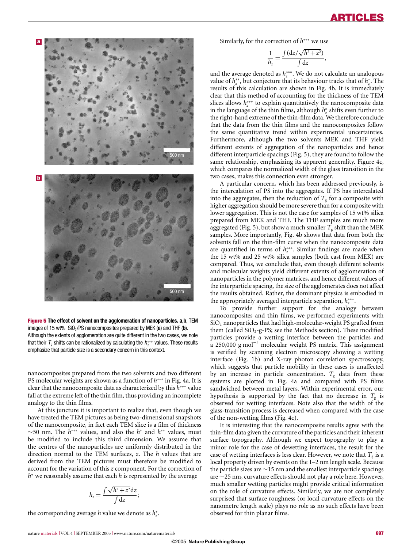

Figure 5 **The effect of solvent on the agglomeration of nanoparticles. a**,**b**, TEM images of 15 wt% SiO<sub>2</sub>/PS nanocomposites prepared by MEK (a) and THF (b). Although the extents of agglomeration are quite different in the two cases, we note that their  $\mathcal{T}_9$  shifts can be rationalized by calculating the  $\mathit{h}_z^{***}$  values. These results emphasize that particle size is a secondary concern in this context.

nanocomposites prepared from the two solvents and two different PS molecular weights are shown as a function of *h*∗∗∗ in Fig. 4a. It is clear that the nanocomposite data as characterized by this *h*∗∗∗ value fall at the extreme left of the thin film, thus providing an incomplete analogy to the thin films.

At this juncture it is important to realize that, even though we have treated the TEM pictures as being two-dimensional snapshots of the nanocomposite, in fact each TEM slice is a film of thickness ∼50 nm. The *h*∗∗∗ values, and also the *h*<sup>∗</sup> and *h*∗∗ values, must be modified to include this third dimension. We assume that the centres of the nanoparticles are uniformly distributed in the direction normal to the TEM surfaces, *z*. The *h* values that are derived from the TEM pictures must therefore be modified to account for the variation of this *z* component. For the correction of *h*<sup>∗</sup> we reasonably assume that each *h* is represented by the average

$$
h_z = \frac{\int \sqrt{h^2 + z^2} \, dz}{\int dz};
$$

the corresponding average *h* value we denote as  $h_z^*$ .

Similarly, for the correction of *h*∗∗∗ we use

$$
\frac{1}{h_z} = \frac{\int (dz/\sqrt{h^2 + z^2})}{\int dz},
$$

and the average denoted as *h*<sub>*z*\*\*</sub>. We do not calculate an analogous *x* value of  $h_z^*$ , but conjecture that its behaviour tracks that of  $h_z^*$ . The results of this calculation are shown in Fig. 4b. It is immediately clear that this method of accounting for the thickness of the TEM slices allows *h*∗∗∗ *<sup>z</sup>* to explain quantitatively the nanocomposite data in the language of the thin films, although *h*<sup>∗</sup> *<sup>z</sup>* shifts even further to the right-hand extreme of the thin-film data. We therefore conclude that the data from the thin films and the nanocomposites follow the same quantitative trend within experimental uncertainties. Furthermore, although the two solvents MEK and THF yield different extents of aggregation of the nanoparticles and hence different interparticle spacings (Fig. 5), they are found to follow the same relationship, emphasizing its apparent generality. Figure 4c, which compares the normalized width of the glass transition in the two cases, makes this connection even stronger.

A particular concern, which has been addressed previously, is the intercalation of PS into the aggregates. If PS has intercalated into the aggregates, then the reduction of  $T<sub>g</sub>$  for a composite with higher aggregation should be more severe than for a composite with lower aggregation. This is not the case for samples of 15 wt% silica prepared from MEK and THF. The THF samples are much more aggregated (Fig. 5), but show a much smaller  $T_g$  shift than the MEK samples. More importantly, Fig. 4b shows that data from both the solvents fall on the thin-film curve when the nanocomposite data are quantified in terms of *h*<sub>*z*\*\*</sub>. Similar findings are made when the 15 wt% and 25 wt% silica samples (both cast from MEK) are compared. Thus, we conclude that, even though different solvents and molecular weights yield different extents of agglomeration of nanoparticles in the polymer matrices, and hence different values of the interparticle spacing, the size of the agglomerates does not affect the results obtained. Rather, the dominant physics is embodied in the appropriately averaged interparticle separation,  $h_z^{***}$ .

To provide further support for the analogy between nanocomposites and thin films, we performed experiments with SiO<sub>2</sub> nanoparticles that had high-molecular-weight PS grafted from them (called  $SiO<sub>2</sub>$ -g-PS; see the Methods section). These modified particles provide a wetting interface between the particles and a 250,000 g mol<sup>-1</sup> molecular weight PS matrix. This assignment is verified by scanning electron microscopy showing a wetting interface (Fig. 1b) and X-ray photon correlation spectroscopy, which suggests that particle mobility in these cases is unaffected by an increase in particle concentration.  $T<sub>g</sub>$  data from these systems are plotted in Fig. 4a and compared with PS films sandwiched between metal layers. Within experimental error, our hypothesis is supported by the fact that no decrease in  $T<sub>g</sub>$  is observed for wetting interfaces. Note also that the width of the glass-transition process is decreased when compared with the case of the non-wetting films (Fig. 4c).

It is interesting that the nanocomposite results agree with the thin-film data given the curvature of the particles and their inherent surface topography. Although we expect topography to play a minor role for the case of dewetting interfaces, the result for the case of wetting interfaces is less clear. However, we note that  $T<sub>g</sub>$  is a local property driven by events on the 1–2 nm length scale. Because the particle sizes are ∼15 nm and the smallest interparticle spacings are ∼25 nm, curvature effects should not play a role here. However, much smaller wetting particles might provide critical information on the role of curvature effects. Similarly, we are not completely surprised that surface roughness (or local curvature effects on the nanometre length scale) plays no role as no such effects have been observed for thin planar films.